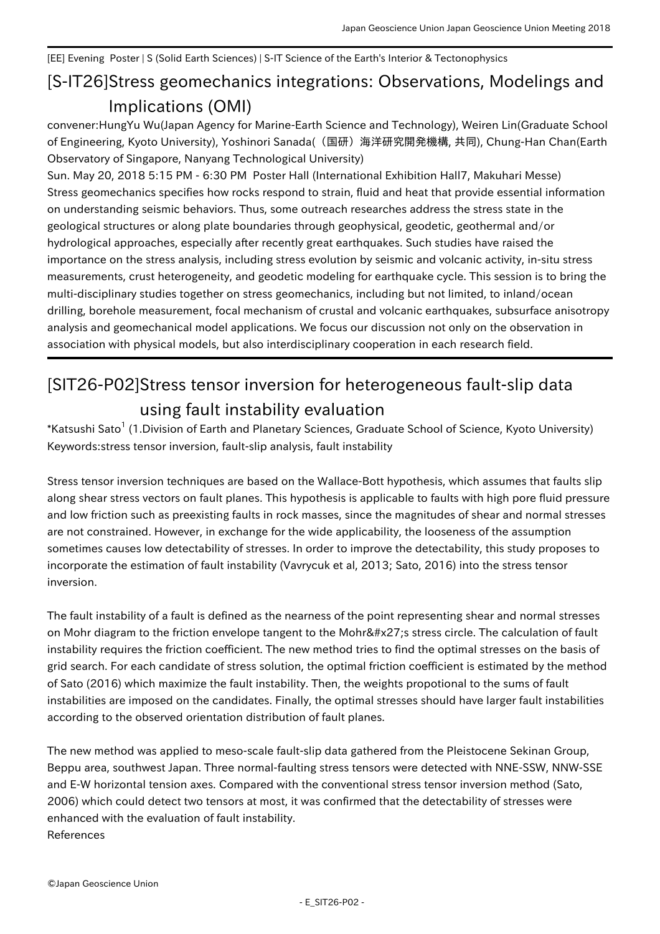## [EE] Evening Poster | S (Solid Earth Sciences) | S-IT Science of the Earth's Interior & Tectonophysics

## [S-IT26] Stress geomechanics integrations: Observations, Modelings and Implications (OMI)

convener:HungYu Wu(Japan Agency for Marine-Earth Science and Technology), Weiren Lin(Graduate School of Engineering, Kyoto University), Yoshinori Sanada((国研)海洋研究開発機構, 共同), Chung-Han Chan(Earth Observatory of Singapore, Nanyang Technological University)

Sun. May 20, 2018 5:15 PM - 6:30 PM Poster Hall (International Exhibition Hall7, Makuhari Messe) Stress geomechanics specifies how rocks respond to strain, fluid and heat that provide essential information on understanding seismic behaviors. Thus, some outreach researches address the stress state in the geological structures or along plate boundaries through geophysical, geodetic, geothermal and/or hydrological approaches, especially after recently great earthquakes. Such studies have raised the importance on the stress analysis, including stress evolution by seismic and volcanic activity, in-situ stress measurements, crust heterogeneity, and geodetic modeling for earthquake cycle. This session is to bring the multi-disciplinary studies together on stress geomechanics, including but not limited, to inland/ocean drilling, borehole measurement, focal mechanism of crustal and volcanic earthquakes, subsurface anisotropy analysis and geomechanical model applications. We focus our discussion not only on the observation in association with physical models, but also interdisciplinary cooperation in each research field.

## [SIT26-P02] Stress tensor inversion for heterogeneous fault-slip data using fault instability evaluation

 $^*$ Katsushi Sato $^1$  (1.Division of Earth and Planetary Sciences, Graduate School of Science, Kyoto University) Keywords:stress tensor inversion, fault-slip analysis, fault instability

Stress tensor inversion techniques are based on the Wallace-Bott hypothesis, which assumes that faults slip along shear stress vectors on fault planes. This hypothesis is applicable to faults with high pore fluid pressure and low friction such as preexisting faults in rock masses, since the magnitudes of shear and normal stresses are not constrained. However, in exchange for the wide applicability, the looseness of the assumption sometimes causes low detectability of stresses. In order to improve the detectability, this study proposes to incorporate the estimation of fault instability (Vavrycuk et al, 2013; Sato, 2016) into the stress tensor inversion.

The fault instability of a fault is defined as the nearness of the point representing shear and normal stresses on Mohr diagram to the friction envelope tangent to the Mohr' s stress circle. The calculation of fault instability requires the friction coefficient. The new method tries to find the optimal stresses on the basis of grid search. For each candidate of stress solution, the optimal friction coefficient is estimated by the method of Sato (2016) which maximize the fault instability. Then, the weights propotional to the sums of fault instabilities are imposed on the candidates. Finally, the optimal stresses should have larger fault instabilities according to the observed orientation distribution of fault planes.

The new method was applied to meso-scale fault-slip data gathered from the Pleistocene Sekinan Group, Beppu area, southwest Japan. Three normal-faulting stress tensors were detected with NNE-SSW, NNW-SSE and E-W horizontal tension axes. Compared with the conventional stress tensor inversion method (Sato, 2006) which could detect two tensors at most, it was confirmed that the detectability of stresses were enhanced with the evaluation of fault instability. References